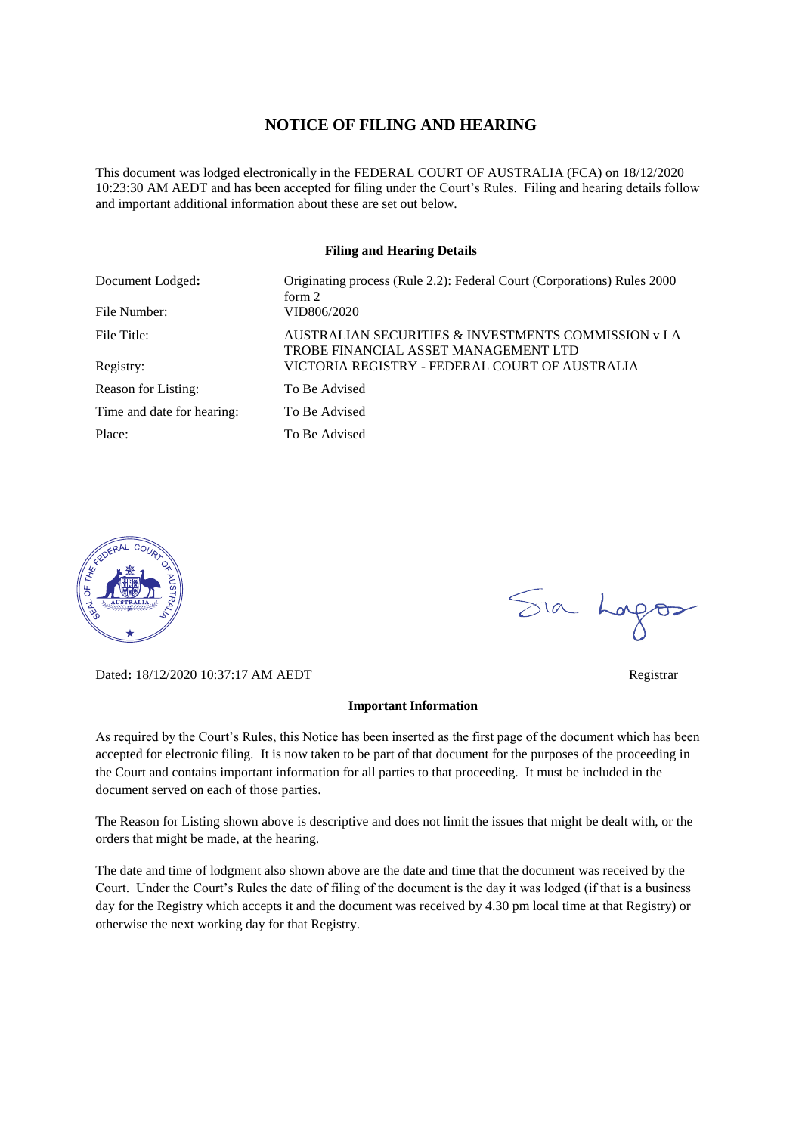#### **NOTICE OF FILING AND HEARING**

This document was lodged electronically in the FEDERAL COURT OF AUSTRALIA (FCA) on 18/12/2020 10:23:30 AM AEDT and has been accepted for filing under the Court's Rules. Filing and hearing details follow and important additional information about these are set out below.

#### **Filing and Hearing Details**

| Document Lodged:           | Originating process (Rule 2.2): Federal Court (Corporations) Rules 2000<br>form $2$         |
|----------------------------|---------------------------------------------------------------------------------------------|
| File Number:               | VID806/2020                                                                                 |
| File Title:                | AUSTRALIAN SECURITIES & INVESTMENTS COMMISSION y LA<br>TROBE FINANCIAL ASSET MANAGEMENT LTD |
| Registry:                  | VICTORIA REGISTRY - FEDERAL COURT OF AUSTRALIA                                              |
| Reason for Listing:        | To Be Advised                                                                               |
| Time and date for hearing: | To Be Advised                                                                               |
| Place:                     | To Be Advised                                                                               |



Dated**:** 18/12/2020 10:37:17 AM AEDT Registrar

#### **Important Information**

As required by the Court's Rules, this Notice has been inserted as the first page of the document which has been accepted for electronic filing. It is now taken to be part of that document for the purposes of the proceeding in the Court and contains important information for all parties to that proceeding. It must be included in the document served on each of those parties.

The Reason for Listing shown above is descriptive and does not limit the issues that might be dealt with, or the orders that might be made, at the hearing.

The date and time of lodgment also shown above are the date and time that the document was received by the Court. Under the Court's Rules the date of filing of the document is the day it was lodged (if that is a business day for the Registry which accepts it and the document was received by 4.30 pm local time at that Registry) or otherwise the next working day for that Registry.

Sia Logos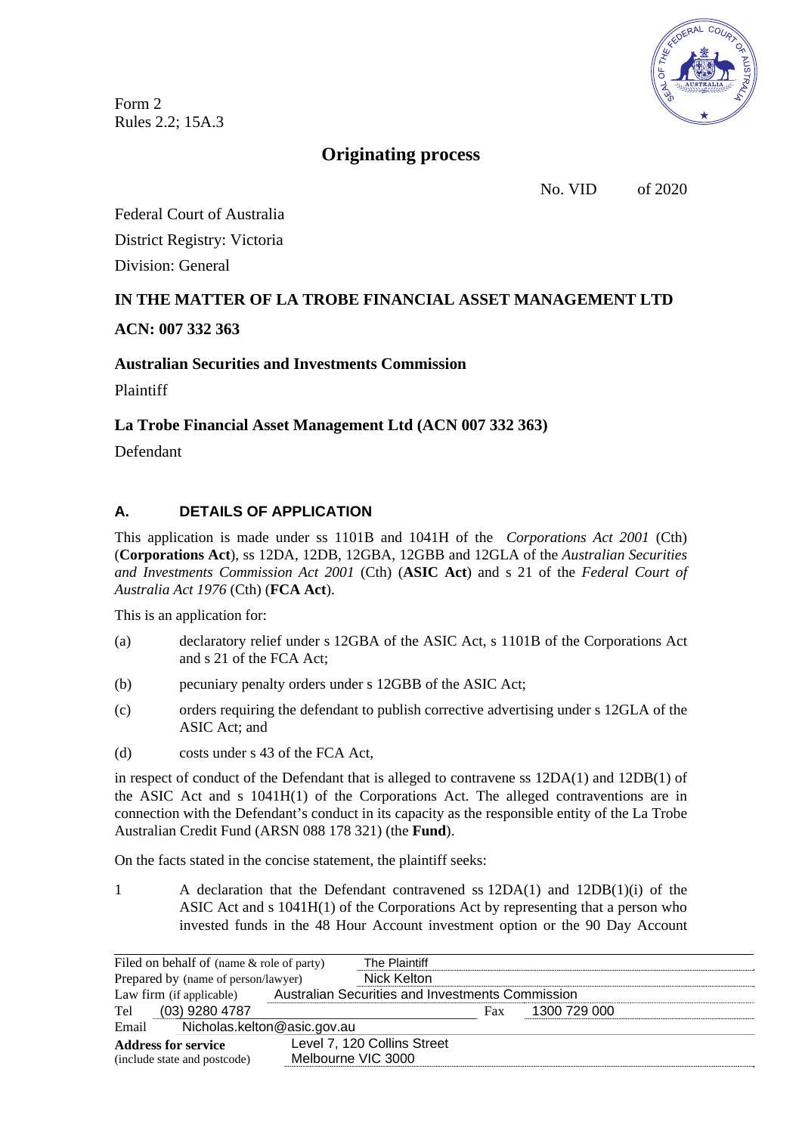Form 2 Rules 2.2; 15A.3



# **Originating process**

No. VID of 2020

Federal Court of Australia District Registry: Victoria Division: General

# **IN THE MATTER OF LA TROBE FINANCIAL ASSET MANAGEMENT LTD**

# **ACN: 007 332 363**

### **Australian Securities and Investments Commission**

Plaintiff

### **La Trobe Financial Asset Management Ltd (ACN 007 332 363)**

Defendant

# **A. DETAILS OF APPLICATION**

This application is made under ss 1101B and 1041H of the *Corporations Act 2001* (Cth) (**Corporations Act**), ss 12DA, 12DB, 12GBA, 12GBB and 12GLA of the *Australian Securities and Investments Commission Act 2001* (Cth) (**ASIC Act**) and s 21 of the *Federal Court of Australia Act 1976* (Cth) (**FCA Act**).

This is an application for:

- (a) declaratory relief under s 12GBA of the ASIC Act, s 1101B of the Corporations Act and s 21 of the FCA Act;
- (b) pecuniary penalty orders under s 12GBB of the ASIC Act;
- (c) orders requiring the defendant to publish corrective advertising under s 12GLA of the ASIC Act; and
- (d) costs under s 43 of the FCA Act,

in respect of conduct of the Defendant that is alleged to contravene ss 12DA(1) and 12DB(1) of the ASIC Act and s 1041H(1) of the Corporations Act. The alleged contraventions are in connection with the Defendant's conduct in its capacity as the responsible entity of the La Trobe Australian Credit Fund (ARSN 088 178 321) (the **Fund**).

On the facts stated in the concise statement, the plaintiff seeks:

1 A declaration that the Defendant contravened ss 12DA(1) and 12DB(1)(i) of the ASIC Act and s 1041H(1) of the Corporations Act by representing that a person who invested funds in the 48 Hour Account investment option or the 90 Day Account

| Filed on behalf of (name & role of party) |  | The Plaintiff                                    |     |              |  |  |
|-------------------------------------------|--|--------------------------------------------------|-----|--------------|--|--|
| Prepared by (name of person/lawyer)       |  | Nick Kelton                                      |     |              |  |  |
| Law firm (if applicable)                  |  | Australian Securities and Investments Commission |     |              |  |  |
| $(03)$ 9280 4787<br>Tel                   |  |                                                  | Fax | 1300 729 000 |  |  |
| Nicholas.kelton@asic.gov.au<br>Email      |  |                                                  |     |              |  |  |
| <b>Address for service</b>                |  | Level 7, 120 Collins Street                      |     |              |  |  |
| (include state and postcode)              |  | Melbourne VIC 3000                               |     |              |  |  |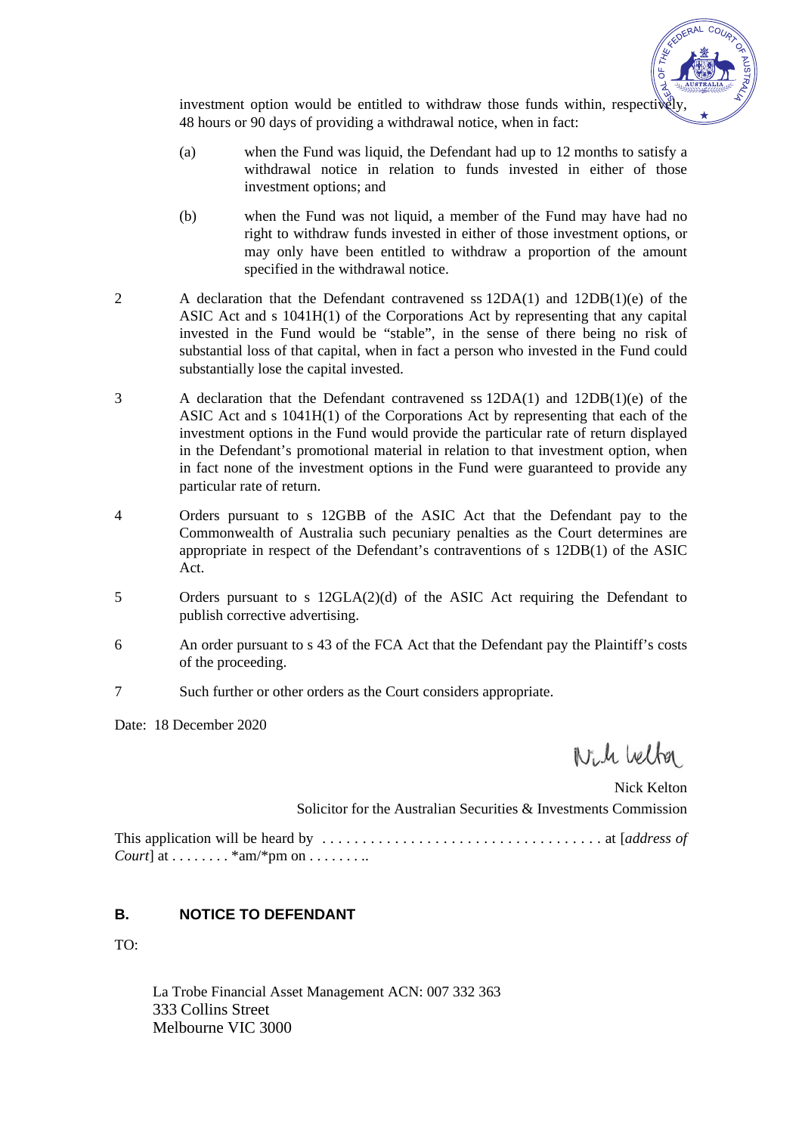

investment option would be entitled to withdraw those funds within, respectively 48 hours or 90 days of providing a withdrawal notice, when in fact:

- (a) when the Fund was liquid, the Defendant had up to 12 months to satisfy a withdrawal notice in relation to funds invested in either of those investment options; and
- (b) when the Fund was not liquid, a member of the Fund may have had no right to withdraw funds invested in either of those investment options, or may only have been entitled to withdraw a proportion of the amount specified in the withdrawal notice.
- 2 A declaration that the Defendant contravened ss 12DA(1) and 12DB(1)(e) of the ASIC Act and s 1041H(1) of the Corporations Act by representing that any capital invested in the Fund would be "stable", in the sense of there being no risk of substantial loss of that capital, when in fact a person who invested in the Fund could substantially lose the capital invested.
- 3 A declaration that the Defendant contravened ss 12DA(1) and 12DB(1)(e) of the ASIC Act and s 1041H(1) of the Corporations Act by representing that each of the investment options in the Fund would provide the particular rate of return displayed in the Defendant's promotional material in relation to that investment option, when in fact none of the investment options in the Fund were guaranteed to provide any particular rate of return.
- 4 Orders pursuant to s 12GBB of the ASIC Act that the Defendant pay to the Commonwealth of Australia such pecuniary penalties as the Court determines are appropriate in respect of the Defendant's contraventions of s 12DB(1) of the ASIC Act.
- 5 Orders pursuant to s 12GLA(2)(d) of the ASIC Act requiring the Defendant to publish corrective advertising.
- 6 An order pursuant to s 43 of the FCA Act that the Defendant pay the Plaintiff's costs of the proceeding.
- 7 Such further or other orders as the Court considers appropriate.

Date: 18 December 2020

Will belfor

Nick Kelton Solicitor for the Australian Securities & Investments Commission This application will be heard by . . . . . . . . . . . . . . . . . . . . . . . . . . . . . . . . . . . at [*address of Court*] at . . . . . . . . \*  $am$  /\*  $pm$  on . . . . . . . . .

# **B. NOTICE TO DEFENDANT**

TO:

La Trobe Financial Asset Management ACN: 007 332 363 333 Collins Street Melbourne VIC 3000